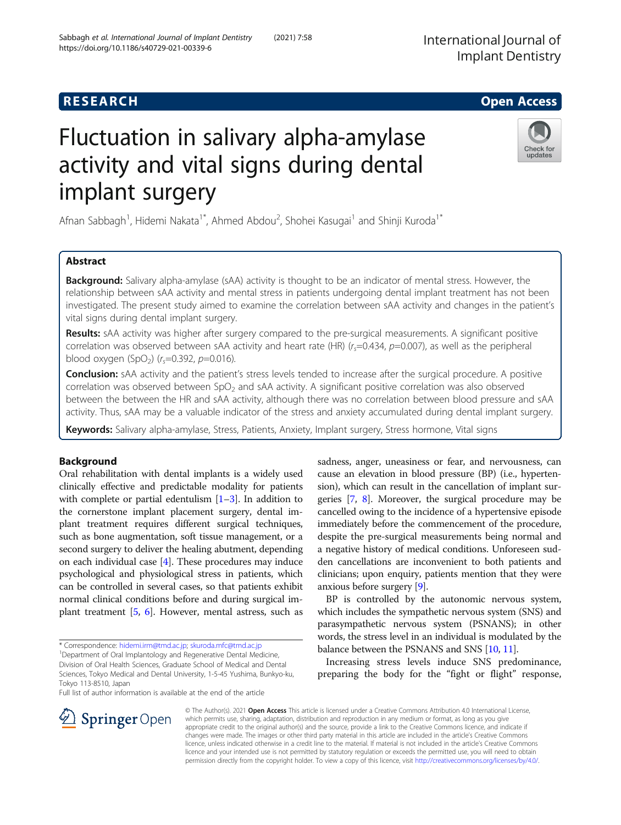# **RESEARCH CHE Open Access**

# Fluctuation in salivary alpha-amylase activity and vital signs during dental implant surgery

Afnan Sabbagh<sup>1</sup>, Hidemi Nakata<sup>1\*</sup>, Ahmed Abdou<sup>2</sup>, Shohei Kasugai<sup>1</sup> and Shinji Kuroda<sup>1\*</sup>

## Abstract

**Background:** Salivary alpha-amylase (sAA) activity is thought to be an indicator of mental stress. However, the relationship between sAA activity and mental stress in patients undergoing dental implant treatment has not been investigated. The present study aimed to examine the correlation between sAA activity and changes in the patient's vital signs during dental implant surgery.

Results: sAA activity was higher after surgery compared to the pre-surgical measurements. A significant positive correlation was observed between sAA activity and heart rate (HR)  $(r<sub>s</sub>=0.434, p=0.007)$ , as well as the peripheral blood oxygen (SpO<sub>2</sub>) ( $r_s$ =0.392, p=0.016).

Conclusion: sAA activity and the patient's stress levels tended to increase after the surgical procedure. A positive correlation was observed between  $SpO<sub>2</sub>$  and sAA activity. A significant positive correlation was also observed between the between the HR and sAA activity, although there was no correlation between blood pressure and sAA activity. Thus, sAA may be a valuable indicator of the stress and anxiety accumulated during dental implant surgery.

Keywords: Salivary alpha-amylase, Stress, Patients, Anxiety, Implant surgery, Stress hormone, Vital signs

## Background

Oral rehabilitation with dental implants is a widely used clinically effective and predictable modality for patients with complete or partial edentulism  $[1-3]$  $[1-3]$  $[1-3]$  $[1-3]$  $[1-3]$ . In addition to the cornerstone implant placement surgery, dental implant treatment requires different surgical techniques, such as bone augmentation, soft tissue management, or a second surgery to deliver the healing abutment, depending on each individual case [[4](#page-6-0)]. These procedures may induce psychological and physiological stress in patients, which can be controlled in several cases, so that patients exhibit normal clinical conditions before and during surgical implant treatment [[5,](#page-6-0) [6\]](#page-6-0). However, mental astress, such as

\* Correspondence: [hidemi.irm@tmd.ac.jp](mailto:hidemi.irm@tmd.ac.jp); [skuroda.mfc@tmd.ac.jp](mailto:skuroda.mfc@tmd.ac.jp) <sup>1</sup>

<sup>1</sup>Department of Oral Implantology and Regenerative Dental Medicine, Division of Oral Health Sciences, Graduate School of Medical and Dental Sciences, Tokyo Medical and Dental University, 1-5-45 Yushima, Bunkyo-ku, Tokyo 113-8510, Japan

Full list of author information is available at the end of the article

sadness, anger, uneasiness or fear, and nervousness, can cause an elevation in blood pressure (BP) (i.e., hypertension), which can result in the cancellation of implant surgeries [[7,](#page-6-0) [8](#page-6-0)]. Moreover, the surgical procedure may be cancelled owing to the incidence of a hypertensive episode immediately before the commencement of the procedure, despite the pre-surgical measurements being normal and a negative history of medical conditions. Unforeseen sudden cancellations are inconvenient to both patients and clinicians; upon enquiry, patients mention that they were anxious before surgery [[9\]](#page-6-0).

BP is controlled by the autonomic nervous system, which includes the sympathetic nervous system (SNS) and parasympathetic nervous system (PSNANS); in other words, the stress level in an individual is modulated by the balance between the PSNANS and SNS [\[10,](#page-6-0) [11](#page-6-0)].

Increasing stress levels induce SNS predominance, preparing the body for the "fight or flight" response,

© The Author(s). 2021 Open Access This article is licensed under a Creative Commons Attribution 4.0 International License, which permits use, sharing, adaptation, distribution and reproduction in any medium or format, as long as you give appropriate credit to the original author(s) and the source, provide a link to the Creative Commons licence, and indicate if changes were made. The images or other third party material in this article are included in the article's Creative Commons licence, unless indicated otherwise in a credit line to the material. If material is not included in the article's Creative Commons licence and your intended use is not permitted by statutory regulation or exceeds the permitted use, you will need to obtain permission directly from the copyright holder. To view a copy of this licence, visit <http://creativecommons.org/licenses/by/4.0/>.



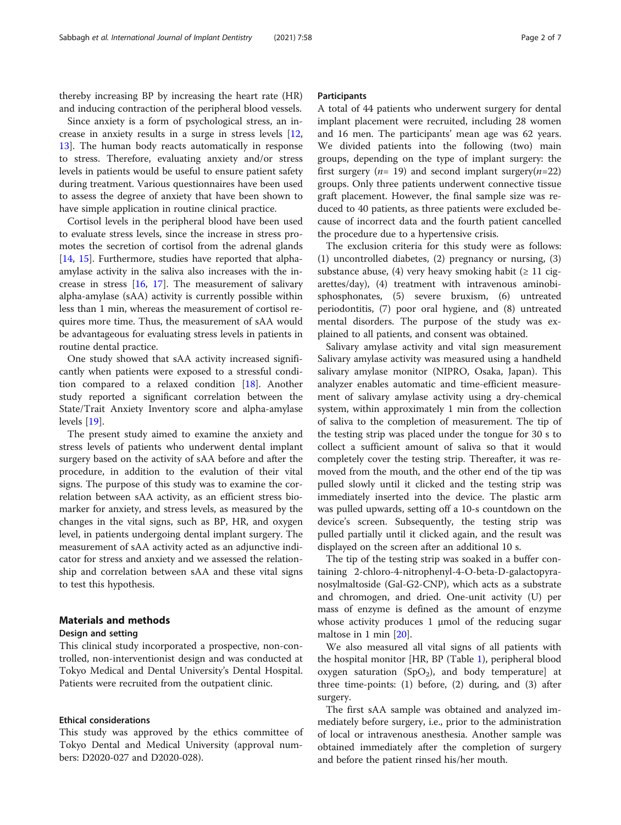thereby increasing BP by increasing the heart rate (HR) and inducing contraction of the peripheral blood vessels.

Since anxiety is a form of psychological stress, an increase in anxiety results in a surge in stress levels [[12](#page-6-0), [13\]](#page-6-0). The human body reacts automatically in response to stress. Therefore, evaluating anxiety and/or stress levels in patients would be useful to ensure patient safety during treatment. Various questionnaires have been used to assess the degree of anxiety that have been shown to have simple application in routine clinical practice.

Cortisol levels in the peripheral blood have been used to evaluate stress levels, since the increase in stress promotes the secretion of cortisol from the adrenal glands [[14,](#page-6-0) [15](#page-6-0)]. Furthermore, studies have reported that alphaamylase activity in the saliva also increases with the increase in stress [[16,](#page-6-0) [17](#page-6-0)]. The measurement of salivary alpha-amylase (sAA) activity is currently possible within less than 1 min, whereas the measurement of cortisol requires more time. Thus, the measurement of sAA would be advantageous for evaluating stress levels in patients in routine dental practice.

One study showed that sAA activity increased significantly when patients were exposed to a stressful condition compared to a relaxed condition [\[18\]](#page-6-0). Another study reported a significant correlation between the State/Trait Anxiety Inventory score and alpha-amylase levels [[19\]](#page-6-0).

The present study aimed to examine the anxiety and stress levels of patients who underwent dental implant surgery based on the activity of sAA before and after the procedure, in addition to the evalution of their vital signs. The purpose of this study was to examine the correlation between sAA activity, as an efficient stress biomarker for anxiety, and stress levels, as measured by the changes in the vital signs, such as BP, HR, and oxygen level, in patients undergoing dental implant surgery. The measurement of sAA activity acted as an adjunctive indicator for stress and anxiety and we assessed the relationship and correlation between sAA and these vital signs to test this hypothesis.

## Materials and methods

## Design and setting

This clinical study incorporated a prospective, non-controlled, non-interventionist design and was conducted at Tokyo Medical and Dental University's Dental Hospital. Patients were recruited from the outpatient clinic.

### Ethical considerations

This study was approved by the ethics committee of Tokyo Dental and Medical University (approval numbers: D2020-027 and D2020-028).

#### **Participants**

A total of 44 patients who underwent surgery for dental implant placement were recruited, including 28 women and 16 men. The participants' mean age was 62 years. We divided patients into the following (two) main groups, depending on the type of implant surgery: the first surgery ( $n= 19$ ) and second implant surgery( $n=22$ ) groups. Only three patients underwent connective tissue graft placement. However, the final sample size was reduced to 40 patients, as three patients were excluded because of incorrect data and the fourth patient cancelled the procedure due to a hypertensive crisis.

The exclusion criteria for this study were as follows: (1) uncontrolled diabetes, (2) pregnancy or nursing, (3) substance abuse, (4) very heavy smoking habit ( $\geq 11$  cigarettes/day), (4) treatment with intravenous aminobisphosphonates, (5) severe bruxism, (6) untreated periodontitis, (7) poor oral hygiene, and (8) untreated mental disorders. The purpose of the study was explained to all patients, and consent was obtained.

Salivary amylase activity and vital sign measurement Salivary amylase activity was measured using a handheld salivary amylase monitor (NIPRO, Osaka, Japan). This analyzer enables automatic and time-efficient measurement of salivary amylase activity using a dry-chemical system, within approximately 1 min from the collection of saliva to the completion of measurement. The tip of the testing strip was placed under the tongue for 30 s to collect a sufficient amount of saliva so that it would completely cover the testing strip. Thereafter, it was removed from the mouth, and the other end of the tip was pulled slowly until it clicked and the testing strip was immediately inserted into the device. The plastic arm was pulled upwards, setting off a 10-s countdown on the device's screen. Subsequently, the testing strip was pulled partially until it clicked again, and the result was displayed on the screen after an additional 10 s.

The tip of the testing strip was soaked in a buffer containing 2-chloro-4-nitrophenyl-4-O-beta-D-galactopyranosylmaltoside (Gal-G2-CNP), which acts as a substrate and chromogen, and dried. One-unit activity (U) per mass of enzyme is defined as the amount of enzyme whose activity produces 1 μmol of the reducing sugar maltose in 1 min [\[20](#page-6-0)].

We also measured all vital signs of all patients with the hospital monitor [HR, BP (Table [1\)](#page-2-0), peripheral blood oxygen saturation (SpO<sub>2</sub>), and body temperature] at three time-points: (1) before, (2) during, and (3) after surgery.

The first sAA sample was obtained and analyzed immediately before surgery, i.e., prior to the administration of local or intravenous anesthesia. Another sample was obtained immediately after the completion of surgery and before the patient rinsed his/her mouth.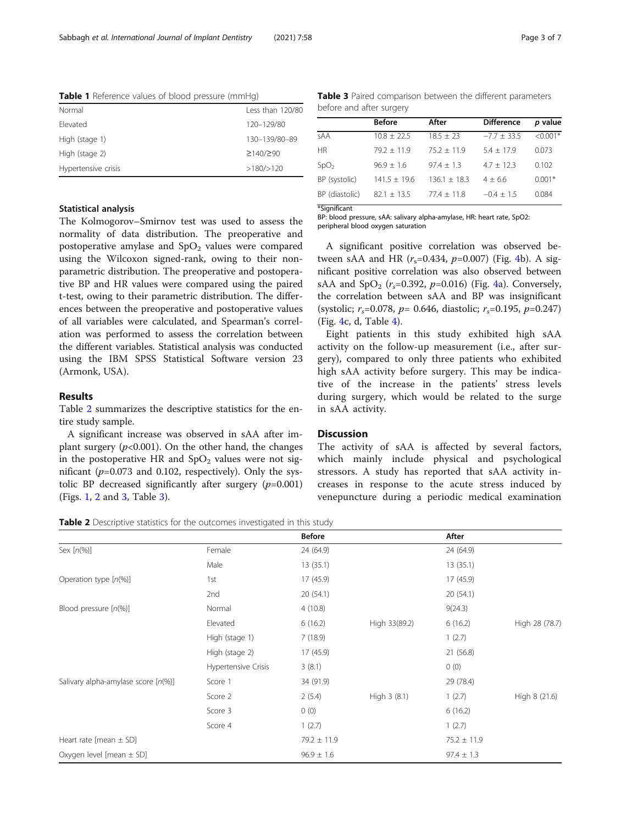<span id="page-2-0"></span>Table 1 Reference values of blood pressure (mmHg)

| Normal              | Less than 120/80      |
|---------------------|-----------------------|
| Flevated            | 120-129/80            |
| High (stage 1)      | 130-139/80-89         |
| High (stage 2)      | $\geq$ 140/ $\geq$ 90 |
| Hypertensive crisis | >180/>120             |

Table 3 Paired comparison between the different parameters before and after surgery

|                  | <b>Before</b>  | After          | <b>Difference</b> | <i>p</i> value |
|------------------|----------------|----------------|-------------------|----------------|
| sAA              | $10.8 + 22.5$  | $18.5 + 23$    | $-7.7 + 33.5$     | $< 0.001*$     |
| <b>HR</b>        | $79.2 + 11.9$  | $75.2 + 11.9$  | $5.4 + 17.9$      | 0.073          |
| SpO <sub>2</sub> | $96.9 + 1.6$   | $97.4 \pm 1.3$ | $4.7 + 12.3$      | 0.102          |
| BP (systolic)    | $141.5 + 19.6$ | $136.1 + 18.3$ | $4 + 6.6$         | $0.001*$       |
| BP (diastolic)   | $82.1 + 13.5$  | $77.4 + 11.8$  | $-0.4 + 1.5$      | 0.084          |
| *Significant     |                |                |                   |                |

BP: blood pressure, sAA: salivary alpha-amylase, HR: heart rate, SpO2:

## Statistical analysis

The Kolmogorov–Smirnov test was used to assess the normality of data distribution. The preoperative and postoperative amylase and  $SpO<sub>2</sub>$  values were compared using the Wilcoxon signed-rank, owing to their nonparametric distribution. The preoperative and postoperative BP and HR values were compared using the paired t-test, owing to their parametric distribution. The differences between the preoperative and postoperative values of all variables were calculated, and Spearman's correlation was performed to assess the correlation between the different variables. Statistical analysis was conducted using the IBM SPSS Statistical Software version 23 (Armonk, USA).

## Results

Table 2 summarizes the descriptive statistics for the entire study sample.

A significant increase was observed in sAA after implant surgery  $(p<0.001)$ . On the other hand, the changes in the postoperative HR and  $SpO<sub>2</sub>$  values were not significant ( $p=0.073$  and 0.102, respectively). Only the systolic BP decreased significantly after surgery  $(p=0.001)$ (Figs. [1](#page-3-0), [2](#page-3-0) and [3,](#page-4-0) Table 3).

peripheral blood oxygen saturation

A significant positive correlation was observed between sAA and HR  $(r_s=0.434, p=0.007)$  $(r_s=0.434, p=0.007)$  $(r_s=0.434, p=0.007)$  (Fig. 4b). A significant positive correlation was also observed between sAA and  $SpO<sub>2</sub>$  ( $r<sub>s</sub>=0.392$ ,  $p=0.016$ ) (Fig. [4](#page-5-0)a). Conversely, the correlation between sAA and BP was insignificant (systolic;  $r_s$ =0.078,  $p$ = 0.646, diastolic;  $r_s$ =0.195,  $p$ =0.247) (Fig. [4](#page-5-0)c, d, Table [4\)](#page-4-0).

Eight patients in this study exhibited high sAA activity on the follow-up measurement (i.e., after surgery), compared to only three patients who exhibited high sAA activity before surgery. This may be indicative of the increase in the patients' stress levels during surgery, which would be related to the surge in sAA activity.

## **Discussion**

The activity of sAA is affected by several factors, which mainly include physical and psychological stressors. A study has reported that sAA activity increases in response to the acute stress induced by venepuncture during a periodic medical examination

Table 2 Descriptive statistics for the outcomes investigated in this study

|                                        |                     | <b>Before</b>   |               | After           |                |
|----------------------------------------|---------------------|-----------------|---------------|-----------------|----------------|
| Sex $[n(\%)]$                          | Female              | 24 (64.9)       |               | 24 (64.9)       |                |
|                                        | Male                | 13(35.1)        |               | 13(35.1)        |                |
| Operation type $[n(\%)]$               | 1st                 | 17(45.9)        |               | 17 (45.9)       |                |
|                                        | 2nd                 | 20(54.1)        |               | 20 (54.1)       |                |
| Blood pressure $[n(\%)]$               | Normal              | 4(10.8)         |               | 9(24.3)         |                |
|                                        | Elevated            | 6(16.2)         | High 33(89.2) | 6(16.2)         | High 28 (78.7) |
|                                        | High (stage 1)      | 7(18.9)         |               | 1(2.7)          |                |
|                                        | High (stage 2)      | 17 (45.9)       |               | 21 (56.8)       |                |
|                                        | Hypertensive Crisis | 3(8.1)          |               | 0(0)            |                |
| Salivary alpha-amylase score $[n(\%)]$ | Score 1             | 34 (91.9)       |               | 29 (78.4)       |                |
|                                        | Score 2             | 2(5.4)          | High 3 (8.1)  | 1(2.7)          | High 8 (21.6)  |
|                                        | Score 3             | 0(0)            |               | 6(16.2)         |                |
|                                        | Score 4             | 1(2.7)          |               | 1(2.7)          |                |
| Heart rate [mean $\pm$ SD]             |                     | $79.2 \pm 11.9$ |               | $75.2 \pm 11.9$ |                |
| Oxygen level [mean $\pm$ SD]           |                     | $96.9 \pm 1.6$  |               | $97.4 \pm 1.3$  |                |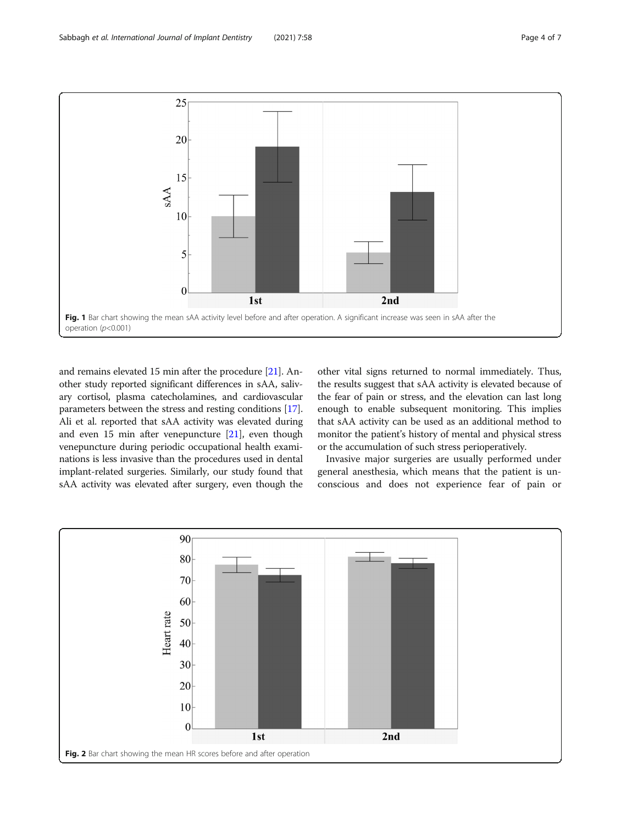<span id="page-3-0"></span>

and remains elevated 15 min after the procedure [\[21\]](#page-6-0). Another study reported significant differences in sAA, salivary cortisol, plasma catecholamines, and cardiovascular parameters between the stress and resting conditions [[17](#page-6-0)]. Ali et al. reported that sAA activity was elevated during and even 15 min after venepuncture [\[21](#page-6-0)], even though venepuncture during periodic occupational health examinations is less invasive than the procedures used in dental implant-related surgeries. Similarly, our study found that sAA activity was elevated after surgery, even though the

other vital signs returned to normal immediately. Thus, the results suggest that sAA activity is elevated because of the fear of pain or stress, and the elevation can last long enough to enable subsequent monitoring. This implies that sAA activity can be used as an additional method to monitor the patient's history of mental and physical stress or the accumulation of such stress perioperatively.

Invasive major surgeries are usually performed under general anesthesia, which means that the patient is unconscious and does not experience fear of pain or

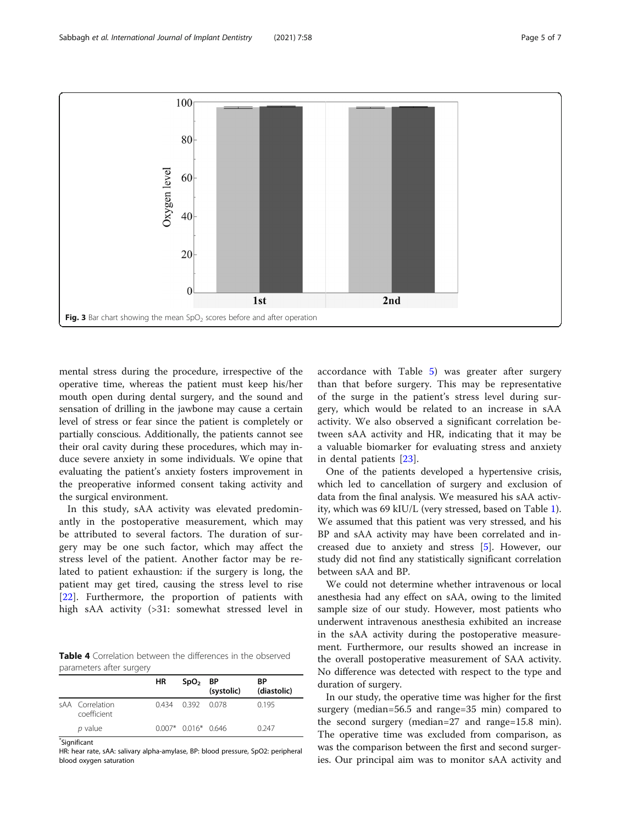<span id="page-4-0"></span>

mental stress during the procedure, irrespective of the operative time, whereas the patient must keep his/her mouth open during dental surgery, and the sound and sensation of drilling in the jawbone may cause a certain level of stress or fear since the patient is completely or partially conscious. Additionally, the patients cannot see their oral cavity during these procedures, which may induce severe anxiety in some individuals. We opine that evaluating the patient's anxiety fosters improvement in the preoperative informed consent taking activity and the surgical environment.

In this study, sAA activity was elevated predominantly in the postoperative measurement, which may be attributed to several factors. The duration of surgery may be one such factor, which may affect the stress level of the patient. Another factor may be related to patient exhaustion: if the surgery is long, the patient may get tired, causing the stress level to rise [[22\]](#page-6-0). Furthermore, the proportion of patients with high sAA activity (>31: somewhat stressed level in

Table 4 Correlation between the differences in the observed parameters after surgery

|                                | HR | $SpO2$ BP           | (systolic) | ВP<br>(diastolic) |
|--------------------------------|----|---------------------|------------|-------------------|
| sAA Correlation<br>coefficient |    | 0.434 0.392 0.078   |            | 0.195             |
| p value                        |    | $0.007*0.016*0.646$ |            | 0.247             |
|                                |    |                     |            |                   |

\* Significant

HR: hear rate, sAA: salivary alpha-amylase, BP: blood pressure, SpO2: peripheral blood oxygen saturation

accordance with Table [5\)](#page-5-0) was greater after surgery than that before surgery. This may be representative of the surge in the patient's stress level during surgery, which would be related to an increase in sAA activity. We also observed a significant correlation between sAA activity and HR, indicating that it may be a valuable biomarker for evaluating stress and anxiety in dental patients [\[23](#page-6-0)].

One of the patients developed a hypertensive crisis, which led to cancellation of surgery and exclusion of data from the final analysis. We measured his sAA activity, which was 69 kIU/L (very stressed, based on Table [1](#page-2-0)). We assumed that this patient was very stressed, and his BP and sAA activity may have been correlated and increased due to anxiety and stress [[5\]](#page-6-0). However, our study did not find any statistically significant correlation between sAA and BP.

We could not determine whether intravenous or local anesthesia had any effect on sAA, owing to the limited sample size of our study. However, most patients who underwent intravenous anesthesia exhibited an increase in the sAA activity during the postoperative measurement. Furthermore, our results showed an increase in the overall postoperative measurement of SAA activity. No difference was detected with respect to the type and duration of surgery.

In our study, the operative time was higher for the first surgery (median=56.5 and range=35 min) compared to the second surgery (median=27 and range=15.8 min). The operative time was excluded from comparison, as was the comparison between the first and second surgeries. Our principal aim was to monitor sAA activity and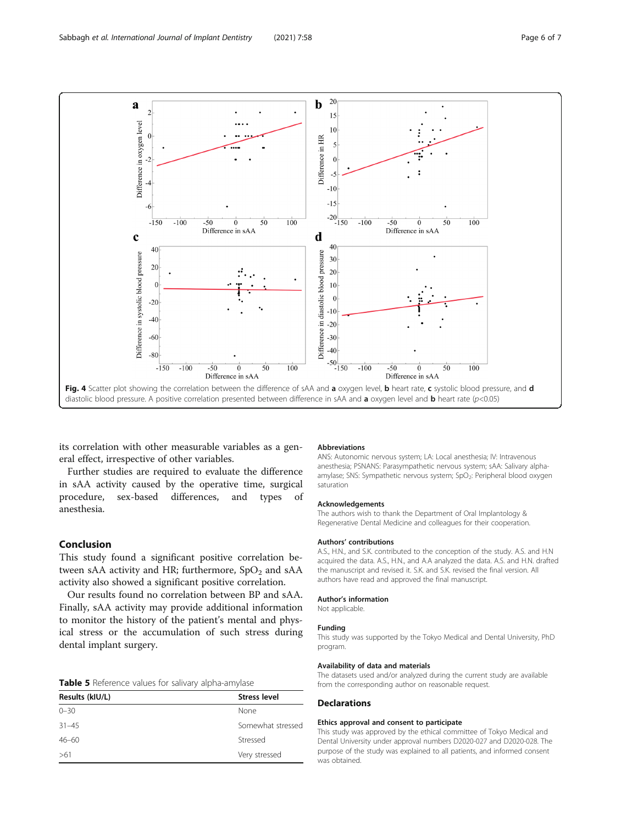<span id="page-5-0"></span>

its correlation with other measurable variables as a general effect, irrespective of other variables.

Further studies are required to evaluate the difference in sAA activity caused by the operative time, surgical procedure, sex-based differences, and types of anesthesia.

## Conclusion

This study found a significant positive correlation between sAA activity and HR; furthermore,  $SpO<sub>2</sub>$  and sAA activity also showed a significant positive correlation.

Our results found no correlation between BP and sAA. Finally, sAA activity may provide additional information to monitor the history of the patient's mental and physical stress or the accumulation of such stress during dental implant surgery.

| Table 5 Reference values for salivary alpha-amylase |  |  |
|-----------------------------------------------------|--|--|
|-----------------------------------------------------|--|--|

| Results (kIU/L) | <b>Stress level</b> |  |
|-----------------|---------------------|--|
| $0 - 30$        | None                |  |
| $31 - 45$       | Somewhat stressed   |  |
| $46 - 60$       | Stressed            |  |
| >61             | Very stressed       |  |
|                 |                     |  |

#### **Abbreviations**

ANS: Autonomic nervous system; LA: Local anesthesia; IV: Intravenous anesthesia; PSNANS: Parasympathetic nervous system; sAA: Salivary alphaamylase; SNS: Sympathetic nervous system; SpO<sub>2</sub>: Peripheral blood oxygen saturation

#### Acknowledgements

The authors wish to thank the Department of Oral Implantology & Regenerative Dental Medicine and colleagues for their cooperation.

#### Authors' contributions

A.S., H.N., and S.K. contributed to the conception of the study. A.S. and H.N acquired the data. A.S., H.N., and A.A analyzed the data. A.S. and H.N. drafted the manuscript and revised it. S.K. and S.K. revised the final version. All authors have read and approved the final manuscript.

### Author's information

Not applicable.

### Funding

This study was supported by the Tokyo Medical and Dental University, PhD program.

#### Availability of data and materials

The datasets used and/or analyzed during the current study are available from the corresponding author on reasonable request.

## **Declarations**

#### Ethics approval and consent to participate

This study was approved by the ethical committee of Tokyo Medical and Dental University under approval numbers D2020-027 and D2020-028. The purpose of the study was explained to all patients, and informed consent was obtained.